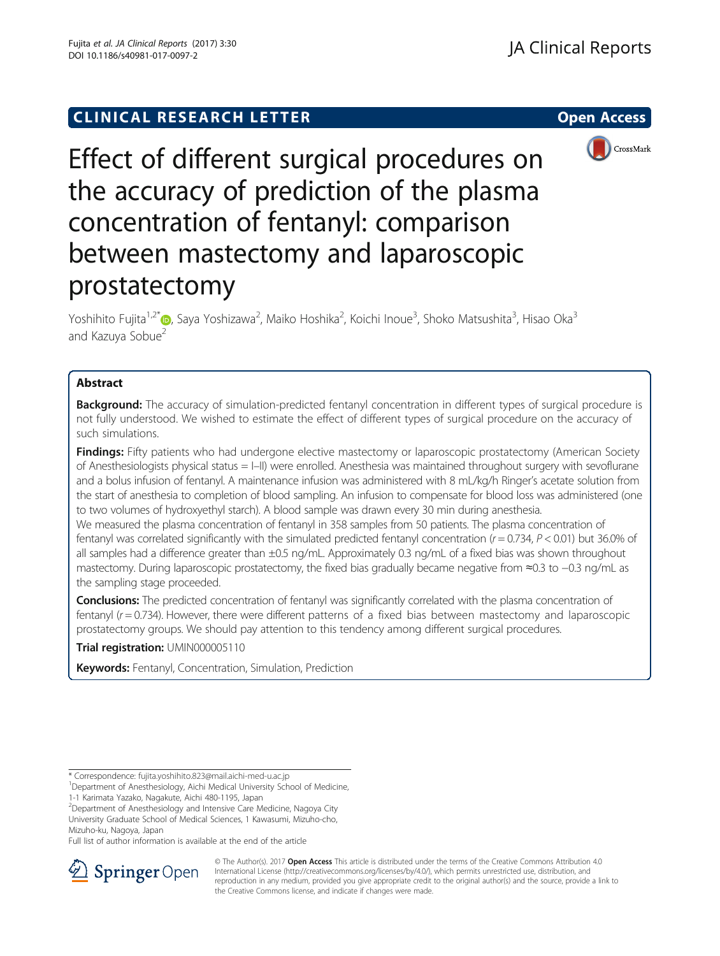# **CLINICAL RESEARCH LETTER CLINICAL RESEARCH LETTER Open Access**



Effect of different surgical procedures on the accuracy of prediction of the plasma concentration of fentanyl: comparison between mastectomy and laparoscopic prostatectomy

Yoshihito Fujita<sup>1[,](http://orcid.org/0000-0001-6927-8287)2\*</sup>®, Saya Yoshizawa<sup>2</sup>, Maiko Hoshika<sup>2</sup>, Koichi Inoue<sup>3</sup>, Shoko Matsushita<sup>3</sup>, Hisao Oka<sup>3</sup> and Kazuya Sobue<sup>2</sup>

## Abstract

**Background:** The accuracy of simulation-predicted fentanyl concentration in different types of surgical procedure is not fully understood. We wished to estimate the effect of different types of surgical procedure on the accuracy of such simulations.

**Findings:** Fifty patients who had undergone elective mastectomy or laparoscopic prostatectomy (American Society of Anesthesiologists physical status = I–II) were enrolled. Anesthesia was maintained throughout surgery with sevoflurane and a bolus infusion of fentanyl. A maintenance infusion was administered with 8 mL/kg/h Ringer's acetate solution from the start of anesthesia to completion of blood sampling. An infusion to compensate for blood loss was administered (one to two volumes of hydroxyethyl starch). A blood sample was drawn every 30 min during anesthesia.

We measured the plasma concentration of fentanyl in 358 samples from 50 patients. The plasma concentration of fentanyl was correlated significantly with the simulated predicted fentanyl concentration  $(r = 0.734, P < 0.01)$  but 36.0% of all samples had a difference greater than ±0.5 ng/mL. Approximately 0.3 ng/mL of a fixed bias was shown throughout mastectomy. During laparoscopic prostatectomy, the fixed bias gradually became negative from ≈0.3 to −0.3 ng/mL as the sampling stage proceeded.

Conclusions: The predicted concentration of fentanyl was significantly correlated with the plasma concentration of fentanyl  $(r = 0.734)$ . However, there were different patterns of a fixed bias between mastectomy and laparoscopic prostatectomy groups. We should pay attention to this tendency among different surgical procedures.

Trial registration: [UMIN000005110](http://www.umin.ac.jp/ctr/index.htm)

Keywords: Fentanyl, Concentration, Simulation, Prediction

<sup>2</sup> Department of Anesthesiology and Intensive Care Medicine, Nagoya City

University Graduate School of Medical Sciences, 1 Kawasumi, Mizuho-cho, Mizuho-ku, Nagoya, Japan

Full list of author information is available at the end of the article



© The Author(s). 2017 **Open Access** This article is distributed under the terms of the Creative Commons Attribution 4.0 International License ([http://creativecommons.org/licenses/by/4.0/\)](http://creativecommons.org/licenses/by/4.0/), which permits unrestricted use, distribution, and reproduction in any medium, provided you give appropriate credit to the original author(s) and the source, provide a link to the Creative Commons license, and indicate if changes were made.

<sup>\*</sup> Correspondence: [fujita.yoshihito.823@mail.aichi-med-u.ac.jp](mailto:fujita.yoshihito.823@mail.aichi-med-u.ac.jp) <sup>1</sup>

<sup>&</sup>lt;sup>1</sup>Department of Anesthesiology, Aichi Medical University School of Medicine,

<sup>1-1</sup> Karimata Yazako, Nagakute, Aichi 480-1195, Japan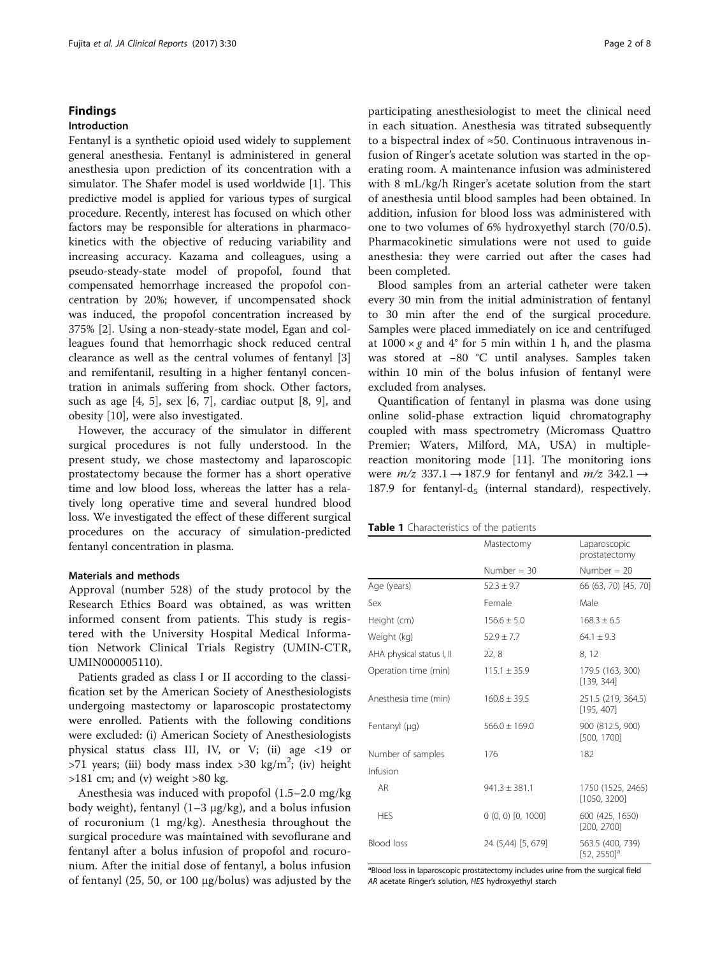## <span id="page-1-0"></span>Findings

## Introduction

Fentanyl is a synthetic opioid used widely to supplement general anesthesia. Fentanyl is administered in general anesthesia upon prediction of its concentration with a simulator. The Shafer model is used worldwide [[1\]](#page-6-0). This predictive model is applied for various types of surgical procedure. Recently, interest has focused on which other factors may be responsible for alterations in pharmacokinetics with the objective of reducing variability and increasing accuracy. Kazama and colleagues, using a pseudo-steady-state model of propofol, found that compensated hemorrhage increased the propofol concentration by 20%; however, if uncompensated shock was induced, the propofol concentration increased by 375% [[2\]](#page-6-0). Using a non-steady-state model, Egan and colleagues found that hemorrhagic shock reduced central clearance as well as the central volumes of fentanyl [\[3](#page-6-0)] and remifentanil, resulting in a higher fentanyl concentration in animals suffering from shock. Other factors, such as age  $[4, 5]$  $[4, 5]$  $[4, 5]$  $[4, 5]$ , sex  $[6, 7]$  $[6, 7]$ , cardiac output  $[8, 9]$  $[8, 9]$  $[8, 9]$  $[8, 9]$ , and obesity [\[10](#page-6-0)], were also investigated.

However, the accuracy of the simulator in different surgical procedures is not fully understood. In the present study, we chose mastectomy and laparoscopic prostatectomy because the former has a short operative time and low blood loss, whereas the latter has a relatively long operative time and several hundred blood loss. We investigated the effect of these different surgical procedures on the accuracy of simulation-predicted fentanyl concentration in plasma.

### Materials and methods

Approval (number 528) of the study protocol by the Research Ethics Board was obtained, as was written informed consent from patients. This study is registered with the University Hospital Medical Information Network Clinical Trials Registry (UMIN-CTR, UMIN000005110).

Patients graded as class I or II according to the classification set by the American Society of Anesthesiologists undergoing mastectomy or laparoscopic prostatectomy were enrolled. Patients with the following conditions were excluded: (i) American Society of Anesthesiologists physical status class III, IV, or V; (ii) age <19 or >71 years; (iii) body mass index >30 kg/m<sup>2</sup>; (iv) height  $>181$  cm; and (v) weight  $>80$  kg.

Anesthesia was induced with propofol (1.5–2.0 mg/kg body weight), fentanyl  $(1-3 \mu g/kg)$ , and a bolus infusion of rocuronium (1 mg/kg). Anesthesia throughout the surgical procedure was maintained with sevoflurane and fentanyl after a bolus infusion of propofol and rocuronium. After the initial dose of fentanyl, a bolus infusion of fentanyl (25, 50, or 100 μg/bolus) was adjusted by the participating anesthesiologist to meet the clinical need in each situation. Anesthesia was titrated subsequently to a bispectral index of ≈50. Continuous intravenous infusion of Ringer's acetate solution was started in the operating room. A maintenance infusion was administered with 8 mL/kg/h Ringer's acetate solution from the start of anesthesia until blood samples had been obtained. In addition, infusion for blood loss was administered with one to two volumes of 6% hydroxyethyl starch (70/0.5). Pharmacokinetic simulations were not used to guide anesthesia: they were carried out after the cases had been completed.

Blood samples from an arterial catheter were taken every 30 min from the initial administration of fentanyl to 30 min after the end of the surgical procedure. Samples were placed immediately on ice and centrifuged at  $1000 \times g$  and 4° for 5 min within 1 h, and the plasma was stored at −80 °C until analyses. Samples taken within 10 min of the bolus infusion of fentanyl were excluded from analyses.

Quantification of fentanyl in plasma was done using online solid-phase extraction liquid chromatography coupled with mass spectrometry (Micromass Quattro Premier; Waters, Milford, MA, USA) in multiplereaction monitoring mode [\[11\]](#page-7-0). The monitoring ions were  $m/z$  337.1  $\rightarrow$  187.9 for fentanyl and  $m/z$  342.1  $\rightarrow$ 187.9 for fentanyl- $d_5$  (internal standard), respectively.

|  |  | <b>Table 1</b> Characteristics of the patients |  |  |
|--|--|------------------------------------------------|--|--|
|--|--|------------------------------------------------|--|--|

|                           | Mastectomy            | Laparoscopic<br>prostatectomy<br>Number = $20$ |  |
|---------------------------|-----------------------|------------------------------------------------|--|
|                           | Number $=$ 30         |                                                |  |
| Age (years)               | $52.3 \pm 9.7$        | 66 (63, 70) [45, 70]                           |  |
| Sex                       | Female                | Male                                           |  |
| Height (cm)               | $156.6 + 5.0$         | $168.3 + 6.5$                                  |  |
| Weight (kg)               | $52.9 \pm 7.7$        | $64.1 \pm 9.3$                                 |  |
| AHA physical status I, II | 22, 8                 | 8.12                                           |  |
| Operation time (min)      | $115.1 \pm 35.9$      | 179.5 (163, 300)<br>[139, 344]                 |  |
| Anesthesia time (min)     | $160.8 \pm 39.5$      | 251.5 (219, 364.5)<br>[195, 407]               |  |
| Fentanyl (µg)             | $566.0 + 169.0$       | 900 (812.5, 900)<br>[500, 1700]                |  |
| Number of samples         | 176                   | 182                                            |  |
| Infusion                  |                       |                                                |  |
| AR                        | $941.3 \pm 381.1$     | 1750 (1525, 2465)<br>[1050, 3200]              |  |
| <b>HFS</b>                | $0(0, 0)$ $[0, 1000]$ | 600 (425, 1650)<br>[200, 2700]                 |  |
| <b>Blood loss</b>         | 24 (5,44) [5, 679]    | 563.5 (400, 739)<br>$[52, 2550]$ <sup>a</sup>  |  |

<sup>a</sup>Blood loss in laparoscopic prostatectomy includes urine from the surgical field AR acetate Ringer's solution, HES hydroxyethyl starch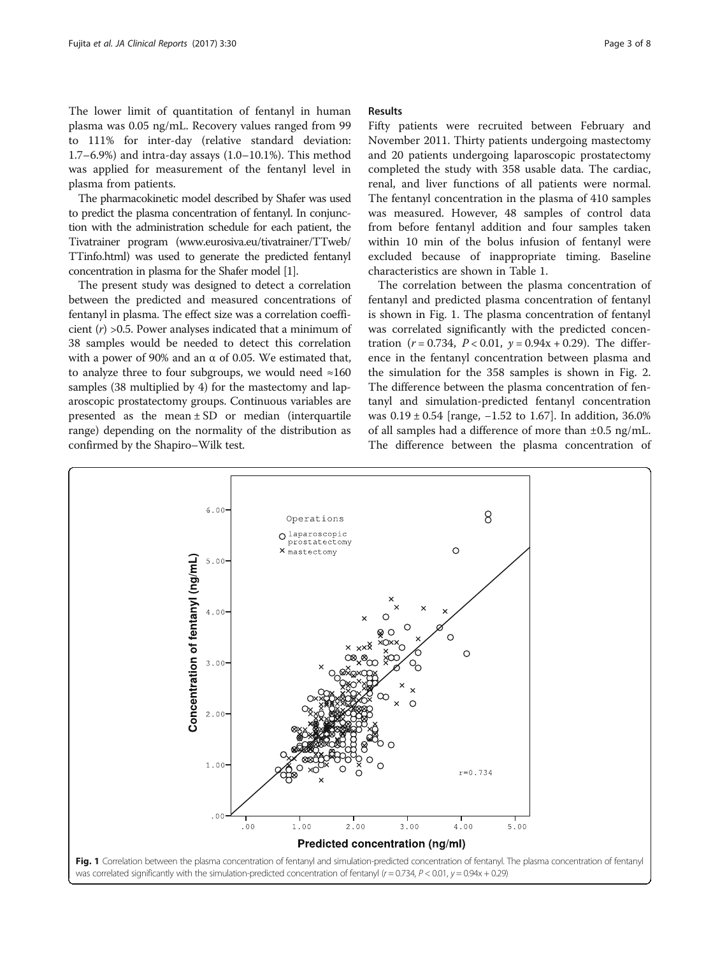The lower limit of quantitation of fentanyl in human plasma was 0.05 ng/mL. Recovery values ranged from 99 to 111% for inter-day (relative standard deviation: 1.7–6.9%) and intra-day assays (1.0–10.1%). This method was applied for measurement of the fentanyl level in plasma from patients.

The pharmacokinetic model described by Shafer was used to predict the plasma concentration of fentanyl. In conjunction with the administration schedule for each patient, the Tivatrainer program [\(www.eurosiva.eu/tivatrainer/TTweb/](http://www.eurosiva.eu/tivatrainer/TTweb/TTinfo.html) [TTinfo.html](http://www.eurosiva.eu/tivatrainer/TTweb/TTinfo.html)) was used to generate the predicted fentanyl concentration in plasma for the Shafer model [[1](#page-6-0)].

The present study was designed to detect a correlation between the predicted and measured concentrations of fentanyl in plasma. The effect size was a correlation coefficient  $(r) > 0.5$ . Power analyses indicated that a minimum of 38 samples would be needed to detect this correlation with a power of 90% and an  $\alpha$  of 0.05. We estimated that, to analyze three to four subgroups, we would need  $\approx 160$ samples (38 multiplied by 4) for the mastectomy and laparoscopic prostatectomy groups. Continuous variables are presented as the mean ± SD or median (interquartile range) depending on the normality of the distribution as confirmed by the Shapiro–Wilk test.

## Results

Fifty patients were recruited between February and November 2011. Thirty patients undergoing mastectomy and 20 patients undergoing laparoscopic prostatectomy completed the study with 358 usable data. The cardiac, renal, and liver functions of all patients were normal. The fentanyl concentration in the plasma of 410 samples was measured. However, 48 samples of control data from before fentanyl addition and four samples taken within 10 min of the bolus infusion of fentanyl were excluded because of inappropriate timing. Baseline characteristics are shown in Table [1](#page-1-0).

The correlation between the plasma concentration of fentanyl and predicted plasma concentration of fentanyl is shown in Fig. 1. The plasma concentration of fentanyl was correlated significantly with the predicted concentration ( $r = 0.734$ ,  $P < 0.01$ ,  $y = 0.94x + 0.29$ ). The difference in the fentanyl concentration between plasma and the simulation for the 358 samples is shown in Fig. [2](#page-3-0). The difference between the plasma concentration of fentanyl and simulation-predicted fentanyl concentration was 0.19 ± 0.54 [range, −1.52 to 1.67]. In addition, 36.0% of all samples had a difference of more than  $\pm 0.5$  ng/mL. The difference between the plasma concentration of

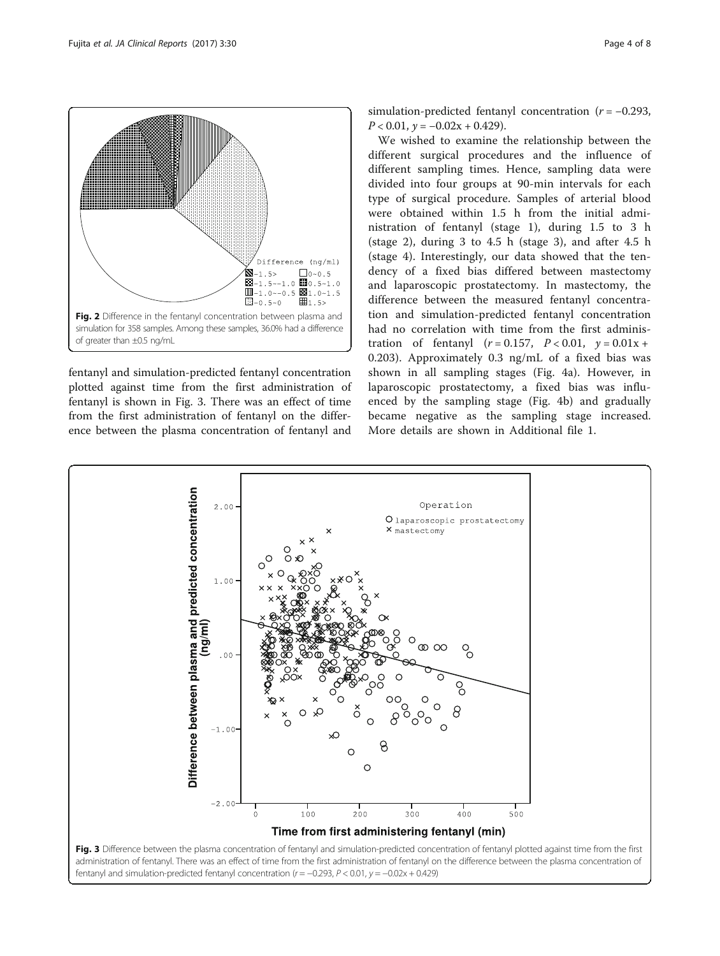<span id="page-3-0"></span>

fentanyl and simulation-predicted fentanyl concentration plotted against time from the first administration of fentanyl is shown in Fig. 3. There was an effect of time from the first administration of fentanyl on the difference between the plasma concentration of fentanyl and simulation-predicted fentanyl concentration ( $r = -0.293$ ,  $P < 0.01$ ,  $\gamma = -0.02x + 0.429$ .

We wished to examine the relationship between the different surgical procedures and the influence of different sampling times. Hence, sampling data were divided into four groups at 90-min intervals for each type of surgical procedure. Samples of arterial blood were obtained within 1.5 h from the initial administration of fentanyl (stage 1), during 1.5 to 3 h (stage 2), during 3 to 4.5 h (stage 3), and after 4.5 h (stage 4). Interestingly, our data showed that the tendency of a fixed bias differed between mastectomy and laparoscopic prostatectomy. In mastectomy, the difference between the measured fentanyl concentration and simulation-predicted fentanyl concentration had no correlation with time from the first administration of fentanyl  $(r = 0.157, P < 0.01, y = 0.01x +$ 0.203). Approximately 0.3 ng/mL of a fixed bias was shown in all sampling stages (Fig. [4a\)](#page-4-0). However, in laparoscopic prostatectomy, a fixed bias was influenced by the sampling stage (Fig. [4b](#page-4-0)) and gradually became negative as the sampling stage increased. More details are shown in Additional file [1](#page-6-0).

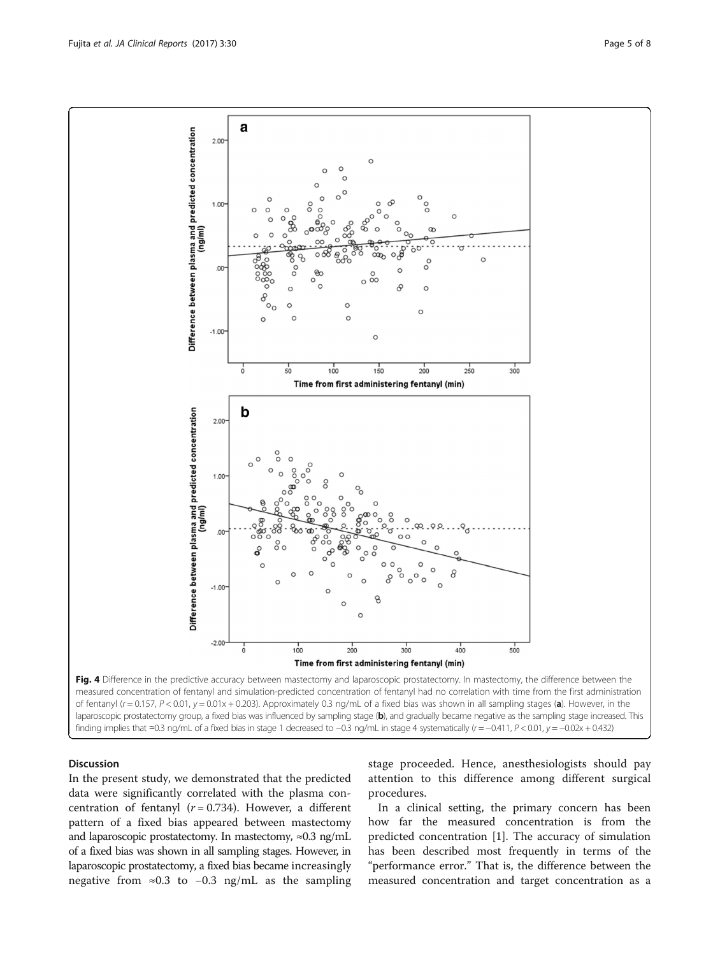<span id="page-4-0"></span>

### Discussion

In the present study, we demonstrated that the predicted data were significantly correlated with the plasma concentration of fentanyl  $(r = 0.734)$ . However, a different pattern of a fixed bias appeared between mastectomy and laparoscopic prostatectomy. In mastectomy,  $\approx 0.3$  ng/mL of a fixed bias was shown in all sampling stages. However, in laparoscopic prostatectomy, a fixed bias became increasingly negative from ≈0.3 to −0.3 ng/mL as the sampling

stage proceeded. Hence, anesthesiologists should pay attention to this difference among different surgical procedures.

In a clinical setting, the primary concern has been how far the measured concentration is from the predicted concentration [\[1](#page-6-0)]. The accuracy of simulation has been described most frequently in terms of the "performance error." That is, the difference between the measured concentration and target concentration as a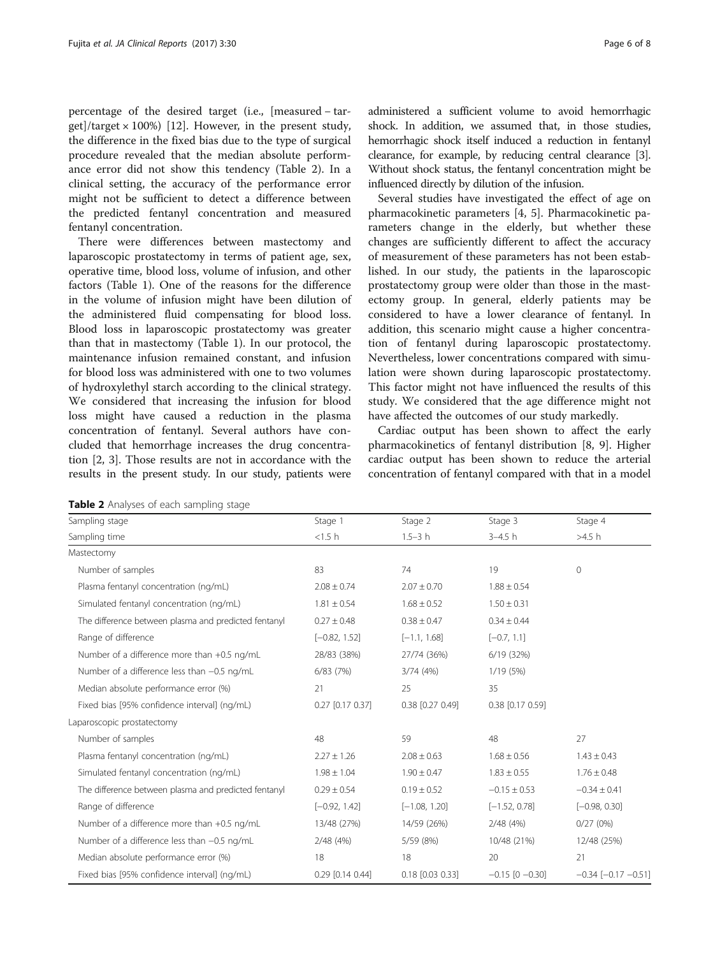percentage of the desired target (i.e., [measured − target]/target  $\times$  100%) [[12\]](#page-7-0). However, in the present study, the difference in the fixed bias due to the type of surgical procedure revealed that the median absolute performance error did not show this tendency (Table 2). In a clinical setting, the accuracy of the performance error might not be sufficient to detect a difference between the predicted fentanyl concentration and measured fentanyl concentration.

There were differences between mastectomy and laparoscopic prostatectomy in terms of patient age, sex, operative time, blood loss, volume of infusion, and other factors (Table [1\)](#page-1-0). One of the reasons for the difference in the volume of infusion might have been dilution of the administered fluid compensating for blood loss. Blood loss in laparoscopic prostatectomy was greater than that in mastectomy (Table [1\)](#page-1-0). In our protocol, the maintenance infusion remained constant, and infusion for blood loss was administered with one to two volumes of hydroxylethyl starch according to the clinical strategy. We considered that increasing the infusion for blood loss might have caused a reduction in the plasma concentration of fentanyl. Several authors have concluded that hemorrhage increases the drug concentration [[2](#page-6-0), [3\]](#page-6-0). Those results are not in accordance with the results in the present study. In our study, patients were

administered a sufficient volume to avoid hemorrhagic shock. In addition, we assumed that, in those studies, hemorrhagic shock itself induced a reduction in fentanyl clearance, for example, by reducing central clearance [[3](#page-6-0)]. Without shock status, the fentanyl concentration might be influenced directly by dilution of the infusion.

Several studies have investigated the effect of age on pharmacokinetic parameters [[4, 5](#page-6-0)]. Pharmacokinetic parameters change in the elderly, but whether these changes are sufficiently different to affect the accuracy of measurement of these parameters has not been established. In our study, the patients in the laparoscopic prostatectomy group were older than those in the mastectomy group. In general, elderly patients may be considered to have a lower clearance of fentanyl. In addition, this scenario might cause a higher concentration of fentanyl during laparoscopic prostatectomy. Nevertheless, lower concentrations compared with simulation were shown during laparoscopic prostatectomy. This factor might not have influenced the results of this study. We considered that the age difference might not have affected the outcomes of our study markedly.

Cardiac output has been shown to affect the early pharmacokinetics of fentanyl distribution [[8, 9\]](#page-6-0). Higher cardiac output has been shown to reduce the arterial concentration of fentanyl compared with that in a model

| Sampling stage                                       | Stage 1<br>$<1.5$ h | Stage 2<br>$1.5 - 3 h$ | Stage 3<br>$3 - 4.5 h$ | Stage 4<br>$>4.5$ h     |
|------------------------------------------------------|---------------------|------------------------|------------------------|-------------------------|
| Sampling time                                        |                     |                        |                        |                         |
| Mastectomy                                           |                     |                        |                        |                         |
| Number of samples                                    | 83                  | 74                     | 19                     | $\circ$                 |
| Plasma fentanyl concentration (ng/mL)                | $2.08 \pm 0.74$     | $2.07 \pm 0.70$        | $1.88 \pm 0.54$        |                         |
| Simulated fentanyl concentration (ng/mL)             | $1.81 \pm 0.54$     | $1.68 \pm 0.52$        | $1.50 \pm 0.31$        |                         |
| The difference between plasma and predicted fentanyl | $0.27 \pm 0.48$     | $0.38 \pm 0.47$        | $0.34 \pm 0.44$        |                         |
| Range of difference                                  | $[-0.82, 1.52]$     | $[-1.1, 1.68]$         | $[-0.7, 1.1]$          |                         |
| Number of a difference more than +0.5 ng/mL          | 28/83 (38%)         | 27/74 (36%)            | 6/19 (32%)             |                         |
| Number of a difference less than -0.5 ng/mL          | 6/83(7%)            | 3/74(4%)               | 1/19(5%)               |                         |
| Median absolute performance error (%)                | 21                  | 25                     | 35                     |                         |
| Fixed bias [95% confidence interval] (ng/mL)         | $0.27$ [0.17 0.37]  | 0.38 [0.27 0.49]       | 0.38 [0.17 0.59]       |                         |
| Laparoscopic prostatectomy                           |                     |                        |                        |                         |
| Number of samples                                    | 48                  | 59                     | 48                     | 27                      |
| Plasma fentanyl concentration (ng/mL)                | $2.27 \pm 1.26$     | $2.08 \pm 0.63$        | $1.68 \pm 0.56$        | $1.43 \pm 0.43$         |
| Simulated fentanyl concentration (ng/mL)             | $1.98 \pm 1.04$     | $1.90 \pm 0.47$        | $1.83 \pm 0.55$        | $1.76 \pm 0.48$         |
| The difference between plasma and predicted fentanyl | $0.29 \pm 0.54$     | $0.19 \pm 0.52$        | $-0.15 \pm 0.53$       | $-0.34 \pm 0.41$        |
| Range of difference                                  | $[-0.92, 1.42]$     | $[-1.08, 1.20]$        | $[-1.52, 0.78]$        | $[-0.98, 0.30]$         |
| Number of a difference more than +0.5 ng/mL          | 13/48 (27%)         | 14/59 (26%)            | 2/48(4%)               | 0/27(0%)                |
| Number of a difference less than -0.5 ng/mL          | 2/48(4%)            | 5/59 (8%)              | 10/48 (21%)            | 12/48 (25%)             |
| Median absolute performance error (%)                | 18                  | 18                     | 20                     | 21                      |
| Fixed bias [95% confidence interval] (ng/mL)         | $0.29$ [0.14 0.44]  | 0.18 [0.03 0.33]       | $-0.15$ [0 $-0.30$ ]   | $-0.34$ $[-0.17 -0.51]$ |

Table 2 Analyses of each sampling stage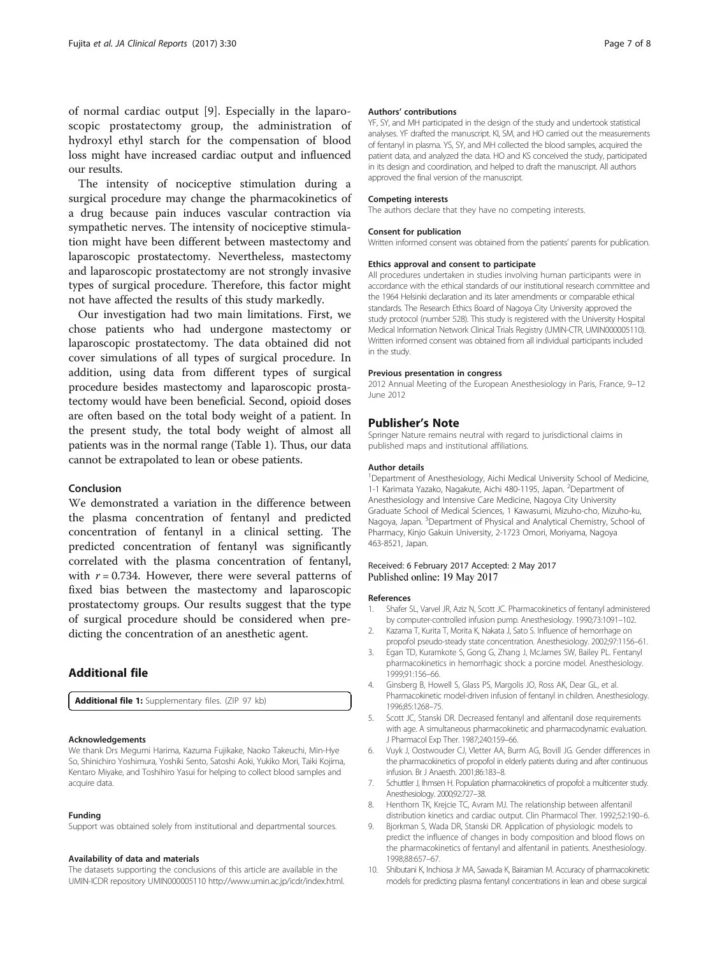<span id="page-6-0"></span>of normal cardiac output [9]. Especially in the laparoscopic prostatectomy group, the administration of hydroxyl ethyl starch for the compensation of blood loss might have increased cardiac output and influenced our results.

The intensity of nociceptive stimulation during a surgical procedure may change the pharmacokinetics of a drug because pain induces vascular contraction via sympathetic nerves. The intensity of nociceptive stimulation might have been different between mastectomy and laparoscopic prostatectomy. Nevertheless, mastectomy and laparoscopic prostatectomy are not strongly invasive types of surgical procedure. Therefore, this factor might not have affected the results of this study markedly.

Our investigation had two main limitations. First, we chose patients who had undergone mastectomy or laparoscopic prostatectomy. The data obtained did not cover simulations of all types of surgical procedure. In addition, using data from different types of surgical procedure besides mastectomy and laparoscopic prostatectomy would have been beneficial. Second, opioid doses are often based on the total body weight of a patient. In the present study, the total body weight of almost all patients was in the normal range (Table [1\)](#page-1-0). Thus, our data cannot be extrapolated to lean or obese patients.

## Conclusion

We demonstrated a variation in the difference between the plasma concentration of fentanyl and predicted concentration of fentanyl in a clinical setting. The predicted concentration of fentanyl was significantly correlated with the plasma concentration of fentanyl, with  $r = 0.734$ . However, there were several patterns of fixed bias between the mastectomy and laparoscopic prostatectomy groups. Our results suggest that the type of surgical procedure should be considered when predicting the concentration of an anesthetic agent.

## Additional file

[Additional file 1:](dx.doi.org/10.1186/s40981-017-0097-2) Supplementary files. (ZIP 97 kb)

#### Acknowledgements

We thank Drs Megumi Harima, Kazuma Fujikake, Naoko Takeuchi, Min-Hye So, Shinichiro Yoshimura, Yoshiki Sento, Satoshi Aoki, Yukiko Mori, Taiki Kojima, Kentaro Miyake, and Toshihiro Yasui for helping to collect blood samples and acquire data.

#### Funding

Support was obtained solely from institutional and departmental sources.

#### Availability of data and materials

The datasets supporting the conclusions of this article are available in the UMIN-ICDR repository UMIN000005110 [http://www.umin.ac.jp/icdr/index.html.](http://www.umin.ac.jp/icdr/index.html)

#### Authors' contributions

YF, SY, and MH participated in the design of the study and undertook statistical analyses. YF drafted the manuscript. KI, SM, and HO carried out the measurements of fentanyl in plasma. YS, SY, and MH collected the blood samples, acquired the patient data, and analyzed the data. HO and KS conceived the study, participated in its design and coordination, and helped to draft the manuscript. All authors approved the final version of the manuscript.

#### Competing interests

The authors declare that they have no competing interests.

## Consent for publication

Written informed consent was obtained from the patients' parents for publication.

#### Ethics approval and consent to participate

All procedures undertaken in studies involving human participants were in accordance with the ethical standards of our institutional research committee and the 1964 Helsinki declaration and its later amendments or comparable ethical standards. The Research Ethics Board of Nagoya City University approved the study protocol (number 528). This study is registered with the University Hospital Medical Information Network Clinical Trials Registry (UMIN-CTR, UMIN000005110). Written informed consent was obtained from all individual participants included in the study.

#### Previous presentation in congress

2012 Annual Meeting of the European Anesthesiology in Paris, France, 9–12 June 2012

#### Publisher's Note

Springer Nature remains neutral with regard to jurisdictional claims in published maps and institutional affiliations.

#### Author details

<sup>1</sup>Department of Anesthesiology, Aichi Medical University School of Medicine, 1-1 Karimata Yazako, Nagakute, Aichi 480-1195, Japan. <sup>2</sup>Department of Anesthesiology and Intensive Care Medicine, Nagoya City University Graduate School of Medical Sciences, 1 Kawasumi, Mizuho-cho, Mizuho-ku, Nagoya, Japan. <sup>3</sup>Department of Physical and Analytical Chemistry, School of Pharmacy, Kinjo Gakuin University, 2-1723 Omori, Moriyama, Nagoya 463-8521, Japan.

## Received: 6 February 2017 Accepted: 2 May 2017 Published online: 19 May 2017

#### References

- 1. Shafer SL, Varvel JR, Aziz N, Scott JC. Pharmacokinetics of fentanyl administered by computer-controlled infusion pump. Anesthesiology. 1990;73:1091–102.
- 2. Kazama T, Kurita T, Morita K, Nakata J, Sato S. Influence of hemorrhage on propofol pseudo-steady state concentration. Anesthesiology. 2002;97:1156–61.
- 3. Egan TD, Kuramkote S, Gong G, Zhang J, McJames SW, Bailey PL. Fentanyl pharmacokinetics in hemorrhagic shock: a porcine model. Anesthesiology. 1999;91:156–66.
- 4. Ginsberg B, Howell S, Glass PS, Margolis JO, Ross AK, Dear GL, et al. Pharmacokinetic model-driven infusion of fentanyl in children. Anesthesiology. 1996;85:1268–75.
- 5. Scott JC, Stanski DR. Decreased fentanyl and alfentanil dose requirements with age. A simultaneous pharmacokinetic and pharmacodynamic evaluation. J Pharmacol Exp Ther. 1987;240:159–66.
- 6. Vuyk J, Oostwouder CJ, Vletter AA, Burm AG, Bovill JG. Gender differences in the pharmacokinetics of propofol in elderly patients during and after continuous infusion. Br J Anaesth. 2001;86:183–8.
- Schuttler J, Ihmsen H. Population pharmacokinetics of propofol: a multicenter study. Anesthesiology. 2000;92:727–38.
- 8. Henthorn TK, Krejcie TC, Avram MJ. The relationship between alfentanil distribution kinetics and cardiac output. Clin Pharmacol Ther. 1992;52:190–6.
- 9. Bjorkman S, Wada DR, Stanski DR. Application of physiologic models to predict the influence of changes in body composition and blood flows on the pharmacokinetics of fentanyl and alfentanil in patients. Anesthesiology. 1998;88:657–67.
- 10. Shibutani K, Inchiosa Jr MA, Sawada K, Bairamian M. Accuracy of pharmacokinetic models for predicting plasma fentanyl concentrations in lean and obese surgical